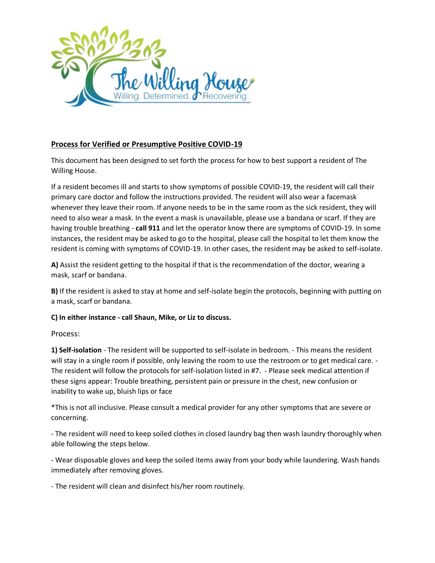

# **Process for Verified or Presumptive Positive COVID-19**

This document has been designed to set forth the process for how to best support a resident of The Willing House.

If a resident becomes ill and starts to show symptoms of possible COVID-19, the resident will call their primary care doctor and follow the instructions provided. The resident will also wear a facemask whenever they leave their room. If anyone needs to be in the same room as the sick resident, they will need to also wear a mask. In the event a mask is unavailable, please use a bandana or scarf. If they are having trouble breathing - **call 911** and let the operator know there are symptoms of COVID-19. In some instances, the resident may be asked to go to the hospital, please call the hospital to let them know the resident is coming with symptoms of COVID-19. In other cases, the resident may be asked to self-isolate.

**A)** Assist the resident getting to the hospital if that is the recommendation of the doctor, wearing a mask, scarf or bandana.

**B)** If the resident is asked to stay at home and self-isolate begin the protocols, beginning with putting on a mask, scarf or bandana.

**C) In either instance - call Shaun, Mike, or Liz to discuss.** 

Process:

**1) Self-isolation** - The resident will be supported to self-isolate in bedroom. - This means the resident will stay in a single room if possible, only leaving the room to use the restroom or to get medical care. -The resident will follow the protocols for self-isolation listed in #7. - Please seek medical attention if these signs appear: Trouble breathing, persistent pain or pressure in the chest, new confusion or inability to wake up, bluish lips or face

\*This is not all inclusive. Please consult a medical provider for any other symptoms that are severe or concerning.

- The resident will need to keep soiled clothes in closed laundry bag then wash laundry thoroughly when able following the steps below.

- Wear disposable gloves and keep the soiled items away from your body while laundering. Wash hands immediately after removing gloves.

- The resident will clean and disinfect his/her room routinely.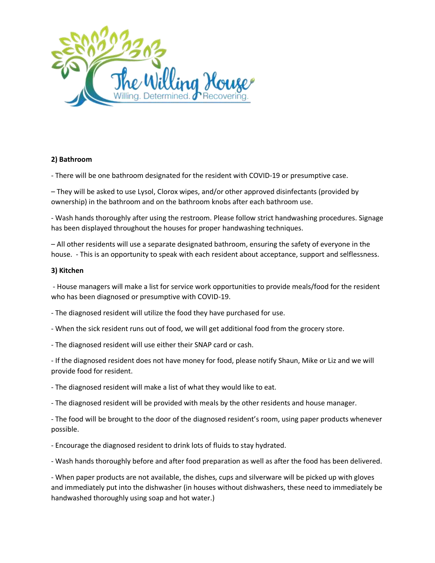

### **2) Bathroom**

- There will be one bathroom designated for the resident with COVID-19 or presumptive case.

– They will be asked to use Lysol, Clorox wipes, and/or other approved disinfectants (provided by ownership) in the bathroom and on the bathroom knobs after each bathroom use.

- Wash hands thoroughly after using the restroom. Please follow strict handwashing procedures. Signage has been displayed throughout the houses for proper handwashing techniques.

– All other residents will use a separate designated bathroom, ensuring the safety of everyone in the house. - This is an opportunity to speak with each resident about acceptance, support and selflessness.

#### **3) Kitchen**

- House managers will make a list for service work opportunities to provide meals/food for the resident who has been diagnosed or presumptive with COVID-19.

- The diagnosed resident will utilize the food they have purchased for use.

- When the sick resident runs out of food, we will get additional food from the grocery store.

- The diagnosed resident will use either their SNAP card or cash.

- If the diagnosed resident does not have money for food, please notify Shaun, Mike or Liz and we will provide food for resident.

- The diagnosed resident will make a list of what they would like to eat.

- The diagnosed resident will be provided with meals by the other residents and house manager.

- The food will be brought to the door of the diagnosed resident's room, using paper products whenever possible.

- Encourage the diagnosed resident to drink lots of fluids to stay hydrated.

- Wash hands thoroughly before and after food preparation as well as after the food has been delivered.

- When paper products are not available, the dishes, cups and silverware will be picked up with gloves and immediately put into the dishwasher (in houses without dishwashers, these need to immediately be handwashed thoroughly using soap and hot water.)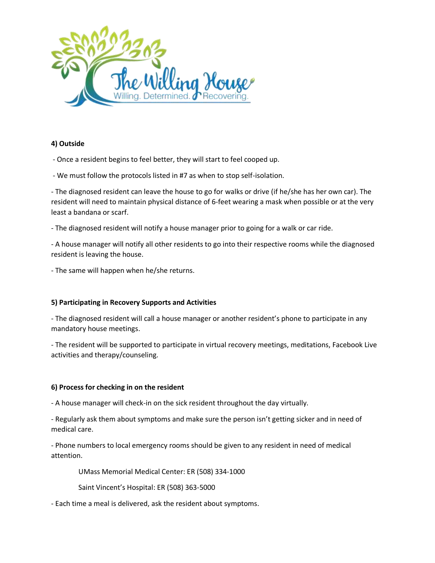

# **4) Outside**

- Once a resident begins to feel better, they will start to feel cooped up.

- We must follow the protocols listed in #7 as when to stop self-isolation.

- The diagnosed resident can leave the house to go for walks or drive (if he/she has her own car). The resident will need to maintain physical distance of 6-feet wearing a mask when possible or at the very least a bandana or scarf.

- The diagnosed resident will notify a house manager prior to going for a walk or car ride.

- A house manager will notify all other residents to go into their respective rooms while the diagnosed resident is leaving the house.

- The same will happen when he/she returns.

## **5) Participating in Recovery Supports and Activities**

- The diagnosed resident will call a house manager or another resident's phone to participate in any mandatory house meetings.

- The resident will be supported to participate in virtual recovery meetings, meditations, Facebook Live activities and therapy/counseling.

## **6) Process for checking in on the resident**

- A house manager will check-in on the sick resident throughout the day virtually.

- Regularly ask them about symptoms and make sure the person isn't getting sicker and in need of medical care.

- Phone numbers to local emergency rooms should be given to any resident in need of medical attention.

UMass Memorial Medical Center: ER (508) 334-1000

Saint Vincent's Hospital: ER (508) 363-5000

- Each time a meal is delivered, ask the resident about symptoms.